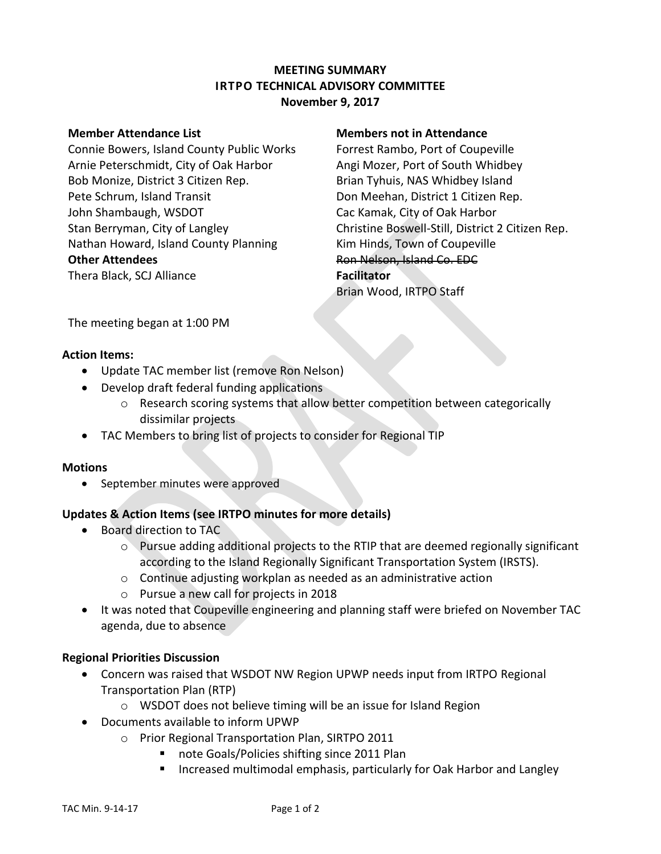# **MEETING SUMMARY IRTPO TECHNICAL ADVISORY COMMITTEE November 9, 2017**

Connie Bowers, Island County Public Works Forrest Rambo, Port of Coupeville Arnie Peterschmidt, City of Oak Harbor **Angi Mozer, Port of South Whidbey** Bob Monize, District 3 Citizen Rep. Brian Tyhuis, NAS Whidbey Island Pete Schrum, Island Transit **Don Meehan, District 1 Citizen Rep.** John Shambaugh, WSDOT Cac Kamak, City of Oak Harbor Nathan Howard, Island County Planning Kim Hinds, Town of Coupeville **Other Attendees Ron Nelson, Island Co. EDC** Thera Black, SCJ Alliance **Facilitator**

#### **Member Attendance List Members not in Attendance**

Stan Berryman, City of Langley Christine Boswell-Still, District 2 Citizen Rep. Brian Wood, IRTPO Staff

The meeting began at 1:00 PM

## **Action Items:**

- Update TAC member list (remove Ron Nelson)
- Develop draft federal funding applications
	- o Research scoring systems that allow better competition between categorically dissimilar projects
- TAC Members to bring list of projects to consider for Regional TIP

## **Motions**

• September minutes were approved

## **Updates & Action Items (see IRTPO minutes for more details)**

- Board direction to TAC
	- $\circ$  Pursue adding additional projects to the RTIP that are deemed regionally significant according to the Island Regionally Significant Transportation System (IRSTS).
	- o Continue adjusting workplan as needed as an administrative action
	- o Pursue a new call for projects in 2018
- It was noted that Coupeville engineering and planning staff were briefed on November TAC agenda, due to absence

## **Regional Priorities Discussion**

- Concern was raised that WSDOT NW Region UPWP needs input from IRTPO Regional Transportation Plan (RTP)
	- o WSDOT does not believe timing will be an issue for Island Region
- Documents available to inform UPWP
	- o Prior Regional Transportation Plan, SIRTPO 2011
		- note Goals/Policies shifting since 2011 Plan
		- **Increased multimodal emphasis, particularly for Oak Harbor and Langley**